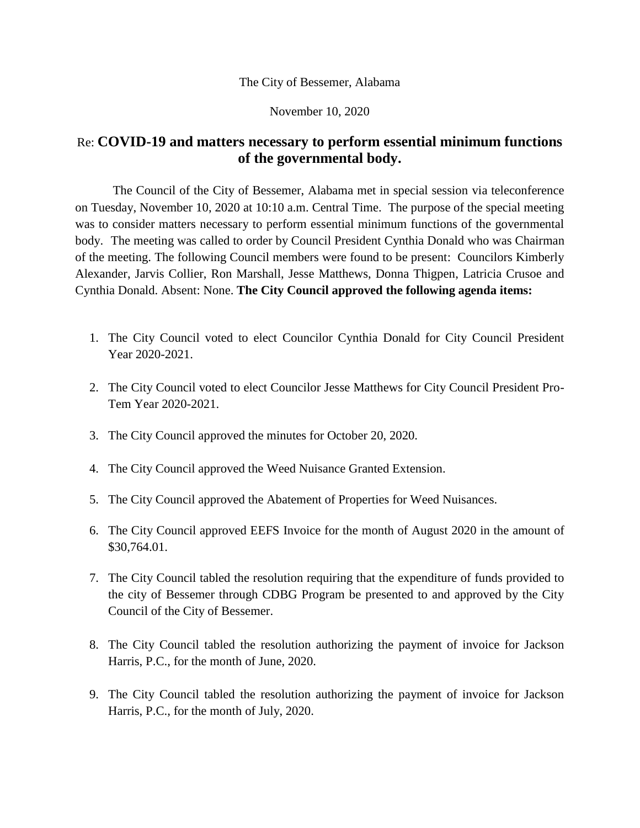## The City of Bessemer, Alabama

November 10, 2020

## Re: **COVID-19 and matters necessary to perform essential minimum functions of the governmental body.**

The Council of the City of Bessemer, Alabama met in special session via teleconference on Tuesday, November 10, 2020 at 10:10 a.m. Central Time. The purpose of the special meeting was to consider matters necessary to perform essential minimum functions of the governmental body. The meeting was called to order by Council President Cynthia Donald who was Chairman of the meeting. The following Council members were found to be present: Councilors Kimberly Alexander, Jarvis Collier, Ron Marshall, Jesse Matthews, Donna Thigpen, Latricia Crusoe and Cynthia Donald. Absent: None. **The City Council approved the following agenda items:**

- 1. The City Council voted to elect Councilor Cynthia Donald for City Council President Year 2020-2021.
- 2. The City Council voted to elect Councilor Jesse Matthews for City Council President Pro-Tem Year 2020-2021.
- 3. The City Council approved the minutes for October 20, 2020.
- 4. The City Council approved the Weed Nuisance Granted Extension.
- 5. The City Council approved the Abatement of Properties for Weed Nuisances.
- 6. The City Council approved EEFS Invoice for the month of August 2020 in the amount of \$30,764.01.
- 7. The City Council tabled the resolution requiring that the expenditure of funds provided to the city of Bessemer through CDBG Program be presented to and approved by the City Council of the City of Bessemer.
- 8. The City Council tabled the resolution authorizing the payment of invoice for Jackson Harris, P.C., for the month of June, 2020.
- 9. The City Council tabled the resolution authorizing the payment of invoice for Jackson Harris, P.C., for the month of July, 2020.